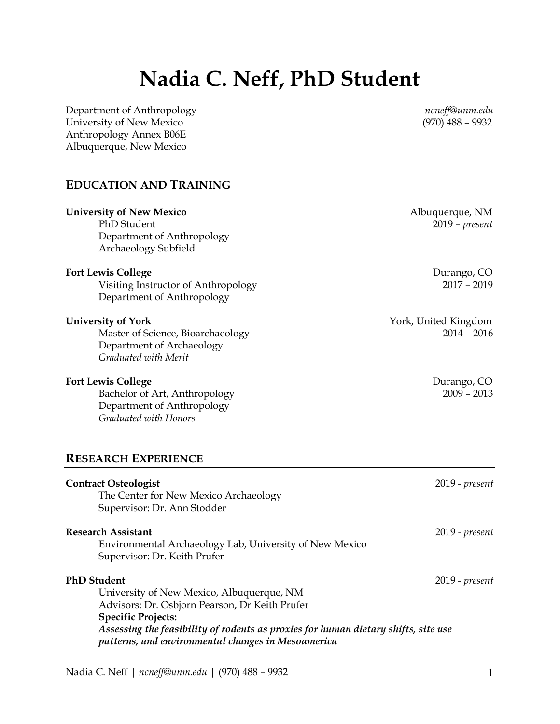# **Nadia C. Neff, PhD Student**

Department of Anthropology *ncneff@unm.edu* University of New Mexico Anthropology Annex B06E Albuquerque, New Mexico

# **EDUCATION AND TRAINING**

| <b>University of New Mexico</b><br>PhD Student<br>Department of Anthropology<br>Archaeology Subfield                                                                                                                                                                                       | Albuquerque, NM<br>$2019$ – $present$ |
|--------------------------------------------------------------------------------------------------------------------------------------------------------------------------------------------------------------------------------------------------------------------------------------------|---------------------------------------|
| <b>Fort Lewis College</b><br>Visiting Instructor of Anthropology<br>Department of Anthropology                                                                                                                                                                                             | Durango, CO<br>$2017 - 2019$          |
| <b>University of York</b><br>Master of Science, Bioarchaeology<br>Department of Archaeology<br>Graduated with Merit                                                                                                                                                                        | York, United Kingdom<br>$2014 - 2016$ |
| <b>Fort Lewis College</b><br>Bachelor of Art, Anthropology<br>Department of Anthropology<br>Graduated with Honors                                                                                                                                                                          | Durango, CO<br>$2009 - 2013$          |
| <b>RESEARCH EXPERIENCE</b>                                                                                                                                                                                                                                                                 |                                       |
| <b>Contract Osteologist</b><br>The Center for New Mexico Archaeology<br>Supervisor: Dr. Ann Stodder                                                                                                                                                                                        | 2019 - present                        |
| <b>Research Assistant</b><br>Environmental Archaeology Lab, University of New Mexico<br>Supervisor: Dr. Keith Prufer                                                                                                                                                                       | 2019 - present                        |
| <b>PhD Student</b><br>University of New Mexico, Albuquerque, NM<br>Advisors: Dr. Osbjorn Pearson, Dr Keith Prufer<br><b>Specific Projects:</b><br>Assessing the feasibility of rodents as proxies for human dietary shifts, site use<br>patterns, and environmental changes in Mesoamerica | 2019 - present                        |

Nadia C. Neff | *ncneff@unm.edu* | (970) 488 - 9932 1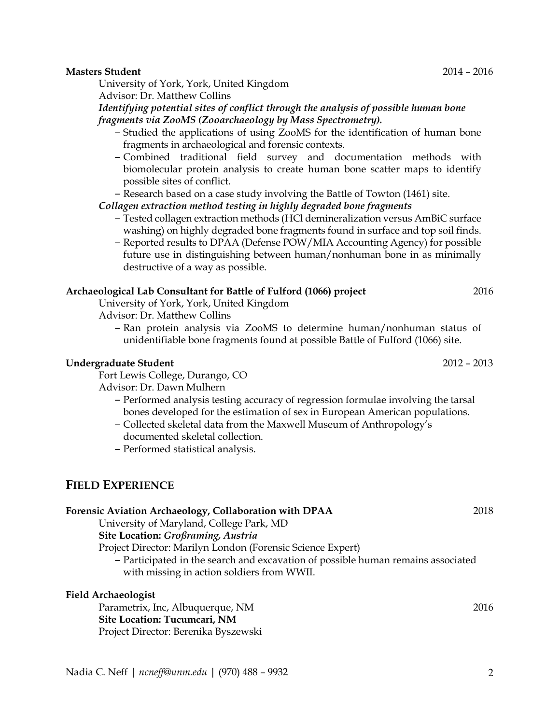## **Masters Student** 2014 – 2016

University of York, York, United Kingdom

Advisor: Dr. Matthew Collins

*Identifying potential sites of conflict through the analysis of possible human bone fragments via ZooMS (Zooarchaeology by Mass Spectrometry).*

- Studied the applications of using ZooMS for the identification of human bone fragments in archaeological and forensic contexts.
- Combined traditional field survey and documentation methods with biomolecular protein analysis to create human bone scatter maps to identify possible sites of conflict.

– Research based on a case study involving the Battle of Towton (1461) site.

## *Collagen extraction method testing in highly degraded bone fragments*

- Tested collagen extraction methods (HCl demineralization versus AmBiC surface washing) on highly degraded bone fragments found in surface and top soil finds.
- Reported results to DPAA (Defense POW/MIA Accounting Agency) for possible future use in distinguishing between human/nonhuman bone in as minimally destructive of a way as possible.

## **Archaeological Lab Consultant for Battle of Fulford (1066) project** 2016

University of York, York, United Kingdom

Advisor: Dr. Matthew Collins

– Ran protein analysis via ZooMS to determine human/nonhuman status of unidentifiable bone fragments found at possible Battle of Fulford (1066) site.

#### **Undergraduate Student** 2012 – 2013

Fort Lewis College, Durango, CO

Advisor: Dr. Dawn Mulhern

- Performed analysis testing accuracy of regression formulae involving the tarsal bones developed for the estimation of sex in European American populations.
- Collected skeletal data from the Maxwell Museum of Anthropology's documented skeletal collection.
- Performed statistical analysis.

# **FIELD EXPERIENCE**

| TOICHOIC IT/IRRIOH I HUMROIONY/ COMMODIARIOH WIRE DI I HIT                       | ⊷⊷   |
|----------------------------------------------------------------------------------|------|
| University of Maryland, College Park, MD                                         |      |
| Site Location: Großraming, Austria                                               |      |
| Project Director: Marilyn London (Forensic Science Expert)                       |      |
| - Participated in the search and excavation of possible human remains associated |      |
| with missing in action soldiers from WWII.                                       |      |
| <b>Field Archaeologist</b>                                                       |      |
| Parametrix, Inc, Albuquerque, NM                                                 | 2016 |
| Site Location: Tucumcari, NM                                                     |      |
| Project Director: Berenika Byszewski                                             |      |
|                                                                                  |      |
|                                                                                  |      |

**Forensic Aviation Archaeology, Collaboration with DPAA** 2018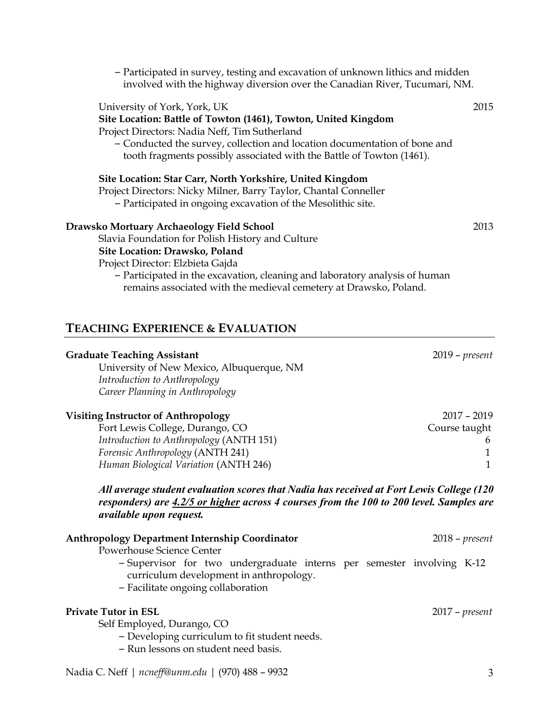– Participated in survey, testing and excavation of unknown lithics and midden involved with the highway diversion over the Canadian River, Tucumari, NM.

#### University of York, York, UK 2015

#### **Site Location: Battle of Towton (1461), Towton, United Kingdom**

Project Directors: Nadia Neff, Tim Sutherland

– Conducted the survey, collection and location documentation of bone and tooth fragments possibly associated with the Battle of Towton (1461).

#### **Site Location: Star Carr, North Yorkshire, United Kingdom**

Project Directors: Nicky Milner, Barry Taylor, Chantal Conneller

– Participated in ongoing excavation of the Mesolithic site.

#### **Drawsko Mortuary Archaeology Field School** 2013

Slavia Foundation for Polish History and Culture

## **Site Location: Drawsko, Poland**

Project Director: Elzbieta Gajda

– Participated in the excavation, cleaning and laboratory analysis of human remains associated with the medieval cemetery at Drawsko, Poland.

## **TEACHING EXPERIENCE & EVALUATION**

| <b>Graduate Teaching Assistant</b>                                                                                                                                                  | $2019$ – present |
|-------------------------------------------------------------------------------------------------------------------------------------------------------------------------------------|------------------|
| University of New Mexico, Albuquerque, NM                                                                                                                                           |                  |
| Introduction to Anthropology                                                                                                                                                        |                  |
| Career Planning in Anthropology                                                                                                                                                     |                  |
| <b>Visiting Instructor of Anthropology</b>                                                                                                                                          | $2017 - 2019$    |
| Fort Lewis College, Durango, CO                                                                                                                                                     | Course taught    |
| Introduction to Anthropology (ANTH 151)                                                                                                                                             | 6                |
| Forensic Anthropology (ANTH 241)                                                                                                                                                    |                  |
| Human Biological Variation (ANTH 246)                                                                                                                                               |                  |
| All average student evaluation scores that Nadia has received at Fort Lewis College (120<br>responders) are 4.2/5 or higher across 4 courses from the 100 to 200 level. Samples are |                  |

**Anthropology Department Internship Coordinator** 2018 – *present* Powerhouse Science Center – Supervisor for two undergraduate interns per semester involving K-12 curriculum development in anthropology. – Facilitate ongoing collaboration **Private Tutor in ESL** 2017 – *present* Self Employed, Durango, CO – Developing curriculum to fit student needs.

– Run lessons on student need basis.

Nadia C. Neff | *ncneff@unm.edu* | (970) 488 – 9932 3

*available upon request.*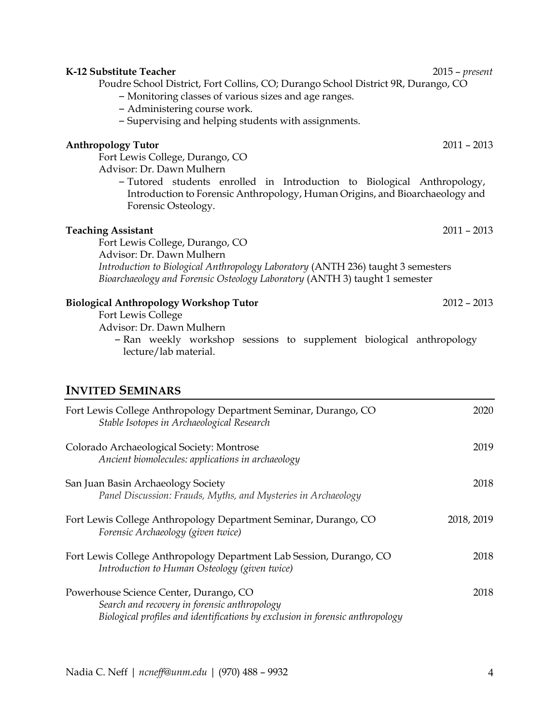| K-12 Substitute Teacher<br>Poudre School District, Fort Collins, CO; Durango School District 9R, Durango, CO<br>- Monitoring classes of various sizes and age ranges.<br>- Administering course work.<br>- Supervising and helping students with assignments. | $2015$ – present |
|---------------------------------------------------------------------------------------------------------------------------------------------------------------------------------------------------------------------------------------------------------------|------------------|
| <b>Anthropology Tutor</b><br>Fort Lewis College, Durango, CO<br>Advisor: Dr. Dawn Mulhern                                                                                                                                                                     | $2011 - 2013$    |
| - Tutored students enrolled in Introduction to Biological Anthropology,<br>Introduction to Forensic Anthropology, Human Origins, and Bioarchaeology and<br>Forensic Osteology.                                                                                |                  |
| <b>Teaching Assistant</b><br>Fort Lewis College, Durango, CO<br>Advisor: Dr. Dawn Mulhern                                                                                                                                                                     | $2011 - 2013$    |
| Introduction to Biological Anthropology Laboratory (ANTH 236) taught 3 semesters<br>Bioarchaeology and Forensic Osteology Laboratory (ANTH 3) taught 1 semester                                                                                               |                  |
| <b>Biological Anthropology Workshop Tutor</b><br>Fort Lewis College<br>Advisor: Dr. Dawn Mulhern<br>- Ran weekly workshop sessions to supplement biological anthropology<br>lecture/lab material.                                                             | $2012 - 2013$    |
| <b>INVITED SEMINARS</b>                                                                                                                                                                                                                                       |                  |
| Fort Lewis College Anthropology Department Seminar, Durango, CO<br>Stable Isotopes in Archaeological Research                                                                                                                                                 | 2020             |
| Colorado Archaeological Society: Montrose<br>Ancient biomolecules: applications in archaeology                                                                                                                                                                | 2019             |
| San Juan Basin Archaeology Society<br>Panel Discussion: Frauds, Myths, and Mysteries in Archaeology                                                                                                                                                           | 2018             |
| Fort Lewis College Anthropology Department Seminar, Durango, CO<br>Forensic Archaeology (given twice)                                                                                                                                                         | 2018, 2019       |
| Fort Lewis College Anthropology Department Lab Session, Durango, CO<br>Introduction to Human Osteology (given twice)                                                                                                                                          | 2018             |
| Powerhouse Science Center, Durango, CO<br>Search and recovery in forensic anthropology<br>Biological profiles and identifications by exclusion in forensic anthropology                                                                                       | 2018             |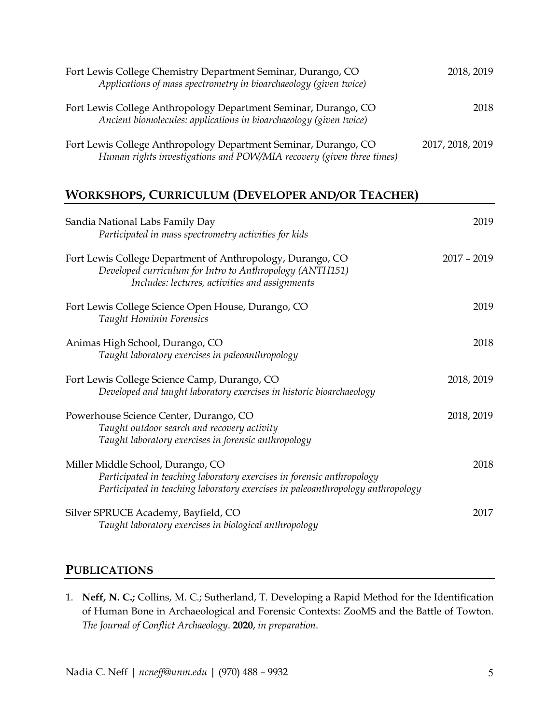| Fort Lewis College Chemistry Department Seminar, Durango, CO<br>Applications of mass spectrometry in bioarchaeology (given twice)       | 2018, 2019       |
|-----------------------------------------------------------------------------------------------------------------------------------------|------------------|
| Fort Lewis College Anthropology Department Seminar, Durango, CO<br>Ancient biomolecules: applications in bioarchaeology (given twice)   | 2018             |
| Fort Lewis College Anthropology Department Seminar, Durango, CO<br>Human rights investigations and POW/MIA recovery (given three times) | 2017, 2018, 2019 |

# **WORKSHOPS, CURRICULUM (DEVELOPER AND/OR TEACHER)**

| Sandia National Labs Family Day<br>Participated in mass spectrometry activities for kids                                                                                                       | 2019          |
|------------------------------------------------------------------------------------------------------------------------------------------------------------------------------------------------|---------------|
| Fort Lewis College Department of Anthropology, Durango, CO<br>Developed curriculum for Intro to Anthropology (ANTH151)<br>Includes: lectures, activities and assignments                       | $2017 - 2019$ |
| Fort Lewis College Science Open House, Durango, CO<br>Taught Hominin Forensics                                                                                                                 | 2019          |
| Animas High School, Durango, CO<br>Taught laboratory exercises in paleoanthropology                                                                                                            | 2018          |
| Fort Lewis College Science Camp, Durango, CO<br>Developed and taught laboratory exercises in historic bioarchaeology                                                                           | 2018, 2019    |
| Powerhouse Science Center, Durango, CO<br>Taught outdoor search and recovery activity<br>Taught laboratory exercises in forensic anthropology                                                  | 2018, 2019    |
| Miller Middle School, Durango, CO<br>Participated in teaching laboratory exercises in forensic anthropology<br>Participated in teaching laboratory exercises in paleoanthropology anthropology | 2018          |
| Silver SPRUCE Academy, Bayfield, CO<br>Taught laboratory exercises in biological anthropology                                                                                                  | 2017          |

# **PUBLICATIONS**

1. **Neff, N. C.;** Collins, M. C.; Sutherland, T. Developing a Rapid Method for the Identification of Human Bone in Archaeological and Forensic Contexts: ZooMS and the Battle of Towton. *The Journal of Conflict Archaeology*. **2020**, *in preparation*.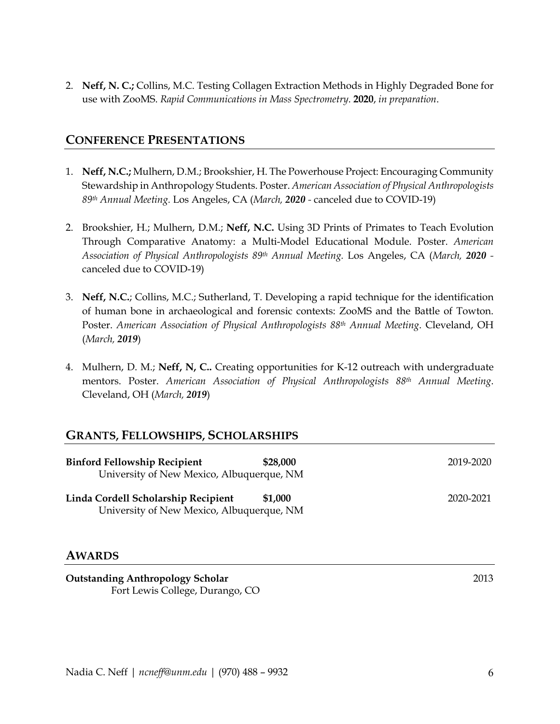2. **Neff, N. C.;** Collins, M.C. Testing Collagen Extraction Methods in Highly Degraded Bone for use with ZooMS. *Rapid Communications in Mass Spectrometry*. **2020**, *in preparation*.

## **CONFERENCE PRESENTATIONS**

- 1. **Neff, N.C.;** Mulhern, D.M.; Brookshier, H. The Powerhouse Project: Encouraging Community Stewardship in Anthropology Students. Poster. *American Association of Physical Anthropologists 89th Annual Meeting.* Los Angeles, CA (*March, 2020 -* canceled due to COVID-19)
- 2. Brookshier, H.; Mulhern, D.M.; **Neff, N.C.** Using 3D Prints of Primates to Teach Evolution Through Comparative Anatomy: a Multi-Model Educational Module. Poster. *American Association of Physical Anthropologists 89th Annual Meeting.* Los Angeles, CA (*March, 2020*  canceled due to COVID-19)
- 3. **Neff, N.C.**; Collins, M.C.; Sutherland, T. Developing a rapid technique for the identification of human bone in archaeological and forensic contexts: ZooMS and the Battle of Towton. Poster. *American Association of Physical Anthropologists 88th Annual Meeting*. Cleveland, OH (*March, 2019*)
- 4. Mulhern, D. M.; **Neff, N, C..** Creating opportunities for K-12 outreach with undergraduate mentors. Poster. *American Association of Physical Anthropologists 88th Annual Meeting*. Cleveland, OH (*March, 2019*)

## **GRANTS, FELLOWSHIPS, SCHOLARSHIPS**

| <b>Binford Fellowship Recipient</b><br>University of New Mexico, Albuquerque, NM | \$28,000 | 2019-2020 |
|----------------------------------------------------------------------------------|----------|-----------|
| Linda Cordell Scholarship Recipient<br>University of New Mexico, Albuquerque, NM | \$1,000  | 2020-2021 |

## **AWARDS**

**Outstanding Anthropology Scholar** 2013 Fort Lewis College, Durango, CO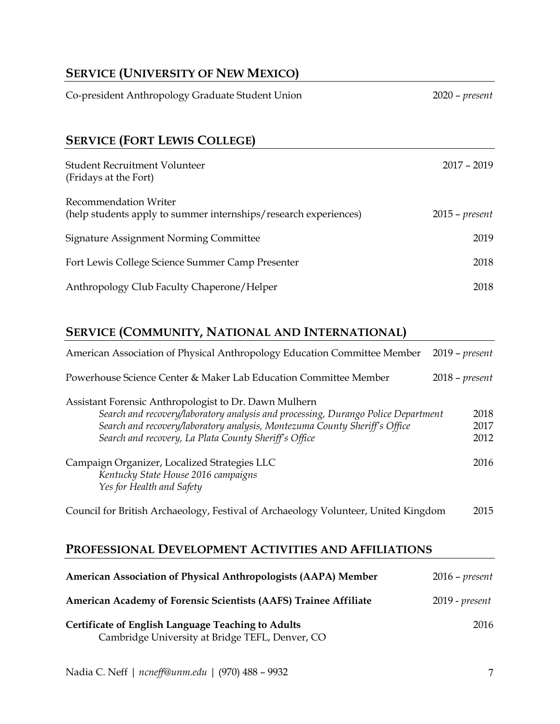# **SERVICE (UNIVERSITY OF NEW MEXICO)**

| Co-president Anthropology Graduate Student Union                                          | $2020$ – present |
|-------------------------------------------------------------------------------------------|------------------|
| <b>SERVICE (FORT LEWIS COLLEGE)</b>                                                       |                  |
| Student Recruitment Volunteer<br>(Fridays at the Fort)                                    | $2017 - 2019$    |
| Recommendation Writer<br>(help students apply to summer internships/research experiences) | $2015$ – present |
| Signature Assignment Norming Committee                                                    | 2019             |
| Fort Lewis College Science Summer Camp Presenter                                          | 2018             |

Anthropology Club Faculty Chaperone/Helper 2018

# **SERVICE (COMMUNITY, NATIONAL AND INTERNATIONAL)**

| American Association of Physical Anthropology Education Committee Member                                                                                                                                                                                                          | $2019$ – $present$   |
|-----------------------------------------------------------------------------------------------------------------------------------------------------------------------------------------------------------------------------------------------------------------------------------|----------------------|
| Powerhouse Science Center & Maker Lab Education Committee Member                                                                                                                                                                                                                  | $2018$ – present     |
| Assistant Forensic Anthropologist to Dr. Dawn Mulhern<br>Search and recovery/laboratory analysis and processing, Durango Police Department<br>Search and recovery/laboratory analysis, Montezuma County Sheriff's Office<br>Search and recovery, La Plata County Sheriff's Office | 2018<br>2017<br>2012 |
| Campaign Organizer, Localized Strategies LLC<br>Kentucky State House 2016 campaigns<br>Yes for Health and Safety                                                                                                                                                                  | 2016                 |
| Council for British Archaeology, Festival of Archaeology Volunteer, United Kingdom                                                                                                                                                                                                | 2015                 |

# **PROFESSIONAL DEVELOPMENT ACTIVITIES AND AFFILIATIONS**

| American Association of Physical Anthropologists (AAPA) Member                                               | $2016$ – present |
|--------------------------------------------------------------------------------------------------------------|------------------|
| American Academy of Forensic Scientists (AAFS) Trainee Affiliate                                             | 2019 - present   |
| <b>Certificate of English Language Teaching to Adults</b><br>Cambridge University at Bridge TEFL, Denver, CO | 2016             |